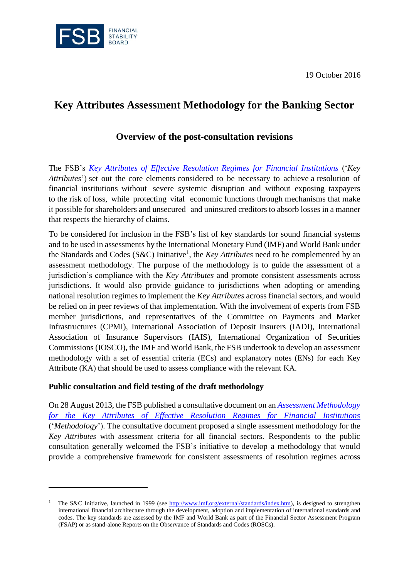19 October 2016



# **Key Attributes Assessment Methodology for the Banking Sector**

# **Overview of the post-consultation revisions**

The FSB's *[Key Attributes of Effective Resolution Regimes for Financial Institutions](http://www.fsb.org/wp-content/uploads/r_141015.pdf)* ('*Key Attributes*') set out the core elements considered to be necessary to achieve a resolution of financial institutions without severe systemic disruption and without exposing taxpayers to the risk of loss, while protecting vital economic functions through mechanisms that make it possible for shareholders and unsecured and uninsured creditors to absorb losses in a manner that respects the hierarchy of claims.

To be considered for inclusion in the FSB's list of key standards for sound financial systems and to be used in assessments by the International Monetary Fund (IMF) and World Bank under the Standards and Codes (S&C) Initiative<sup>1</sup>, the *Key Attributes* need to be complemented by an assessment methodology. The purpose of the methodology is to guide the assessment of a jurisdiction's compliance with the *Key Attributes* and promote consistent assessments across jurisdictions. It would also provide guidance to jurisdictions when adopting or amending national resolution regimes to implement the *Key Attributes* across financial sectors, and would be relied on in peer reviews of that implementation. With the involvement of experts from FSB member jurisdictions, and representatives of the Committee on Payments and Market Infrastructures (CPMI), International Association of Deposit Insurers (IADI), International Association of Insurance Supervisors (IAIS), International Organization of Securities Commissions (IOSCO), the IMF and World Bank, the FSB undertook to develop an assessment methodology with a set of essential criteria (ECs) and explanatory notes (ENs) for each Key Attribute (KA) that should be used to assess compliance with the relevant KA.

## **Public consultation and field testing of the draft methodology**

 $\overline{a}$ 

On 28 August 2013, the FSB published a consultative document on an *[Assessment Methodology](http://www.fsb.org/wp-content/uploads/r_130828.pdf)  [for the Key Attributes of Effective Resolution Regimes for Financial Institutions](http://www.fsb.org/wp-content/uploads/r_130828.pdf)* ('*Methodology*'). The consultative document proposed a single assessment methodology for the *Key Attributes* with assessment criteria for all financial sectors. Respondents to the public consultation generally welcomed the FSB's initiative to develop a methodology that would provide a comprehensive framework for consistent assessments of resolution regimes across

<sup>&</sup>lt;sup>1</sup> The S&C Initiative, launched in 1999 (see [http://www.imf.org/external/standards/index.htm\)](http://www.imf.org/external/standards/index.htm), is designed to strengthen international financial architecture through the development, adoption and implementation of international standards and codes. The key standards are assessed by the IMF and World Bank as part of the Financial Sector Assessment Program (FSAP) or as stand-alone Reports on the Observance of Standards and Codes (ROSCs).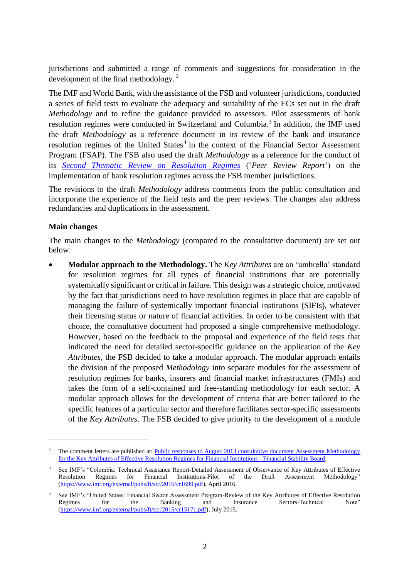jurisdictions and submitted a range of comments and suggestions for consideration in the development of the final methodology.<sup>2</sup>

The IMF and World Bank, with the assistance of the FSB and volunteer jurisdictions, conducted a series of field tests to evaluate the adequacy and suitability of the ECs set out in the draft *Methodology* and to refine the guidance provided to assessors. Pilot assessments of bank resolution regimes were conducted in Switzerland and Columbia.<sup>3</sup> In addition, the IMF used the draft *Methodology* as a reference document in its review of the bank and insurance resolution regimes of the United States<sup>4</sup> in the context of the Financial Sector Assessment Program (FSAP). The FSB also used the draft *Methodology* as a reference for the conduct of its *[Second Thematic Review on Resolution Regimes](http://www.fsb.org/wp-content/uploads/Second-peer-review-report-on-resolution-regimes.pdf)* ('*Peer Review Report*') on the implementation of bank resolution regimes across the FSB member jurisdictions.

The revisions to the draft *Methodology* address comments from the public consultation and incorporate the experience of the field tests and the peer reviews. The changes also address redundancies and duplications in the assessment.

### **Main changes**

 $\overline{a}$ 

The main changes to the *Methodology* (compared to the consultative document) are set out below:

 **Modular approach to the Methodology.** The *Key Attributes* are an 'umbrella' standard for resolution regimes for all types of financial institutions that are potentially systemically significant or critical in failure. This design was a strategic choice, motivated by the fact that jurisdictions need to have resolution regimes in place that are capable of managing the failure of systemically important financial institutions (SIFIs), whatever their licensing status or nature of financial activities. In order to be consistent with that choice, the consultative document had proposed a single comprehensive methodology. However, based on the feedback to the proposal and experience of the field tests that indicated the need for detailed sector-specific guidance on the application of the *Key Attributes*, the FSB decided to take a modular approach. The modular approach entails the division of the proposed *Methodology* into separate modules for the assessment of resolution regimes for banks, insurers and financial market infrastructures (FMIs) and takes the form of a self-contained and free-standing methodology for each sector. A modular approach allows for the development of criteria that are better tailored to the specific features of a particular sector and therefore facilitates sector-specific assessments of the *Key Attributes*. The FSB decided to give priority to the development of a module

The comment letters are published at: Public responses to August 2013 consultative document Assessment Methodology [for the Key Attributes of Effective Resolution Regimes for Financial Institutions -](http://www.fsb.org/2013/11/c_131121/) Financial Stability Board.

<sup>&</sup>lt;sup>3</sup> See IMF's "Colombia: Technical Assistance Report-Detailed Assessment of Observance of Key Attributes of Effective Resolution Regimes for Financial Institutions-Pilot of the Draft Assessment Methodology" [\(https://www.imf.org/external/pubs/ft/scr/2016/cr1699.pdf\)](https://www.imf.org/external/pubs/ft/scr/2016/cr1699.pdf), April 2016.

<sup>1</sup> See IMF's "United States: Financial Sector Assessment Program-Review of the Key Attributes of Effective Resolution<br>1 Review of the Key Attributes of Effective Resolution<br>1 Note"<br>1 Note" Banking and Insurance Sectors-Tech Sectors-Technical [\(https://www.imf.org/external/pubs/ft/scr/2015/cr15171.pdf\)](https://www.imf.org/external/pubs/ft/scr/2015/cr15171.pdf), July 2015.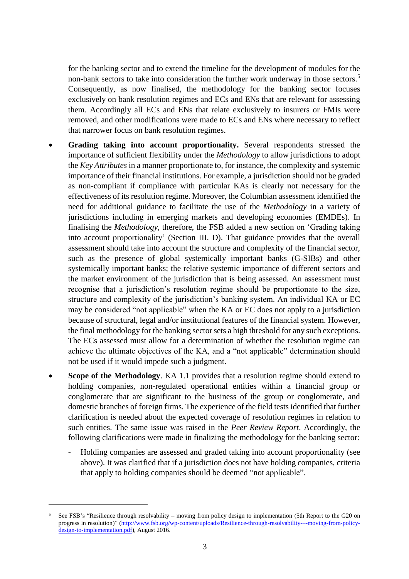for the banking sector and to extend the timeline for the development of modules for the non-bank sectors to take into consideration the further work underway in those sectors.<sup>5</sup> Consequently, as now finalised, the methodology for the banking sector focuses exclusively on bank resolution regimes and ECs and ENs that are relevant for assessing them. Accordingly all ECs and ENs that relate exclusively to insurers or FMIs were removed, and other modifications were made to ECs and ENs where necessary to reflect that narrower focus on bank resolution regimes.

- **Grading taking into account proportionality.** Several respondents stressed the importance of sufficient flexibility under the *Methodology* to allow jurisdictions to adopt the *Key Attributes* in a manner proportionate to, for instance, the complexity and systemic importance of their financial institutions. For example, a jurisdiction should not be graded as non-compliant if compliance with particular KAs is clearly not necessary for the effectiveness of its resolution regime. Moreover, the Columbian assessment identified the need for additional guidance to facilitate the use of the *Methodology* in a variety of jurisdictions including in emerging markets and developing economies (EMDEs). In finalising the *Methodology*, therefore, the FSB added a new section on 'Grading taking into account proportionality' (Section III. D). That guidance provides that the overall assessment should take into account the structure and complexity of the financial sector, such as the presence of global systemically important banks (G-SIBs) and other systemically important banks; the relative systemic importance of different sectors and the market environment of the jurisdiction that is being assessed. An assessment must recognise that a jurisdiction's resolution regime should be proportionate to the size, structure and complexity of the jurisdiction's banking system. An individual KA or EC may be considered "not applicable" when the KA or EC does not apply to a jurisdiction because of structural, legal and/or institutional features of the financial system. However, the final methodology for the banking sectorsets a high threshold for any such exceptions. The ECs assessed must allow for a determination of whether the resolution regime can achieve the ultimate objectives of the KA, and a "not applicable" determination should not be used if it would impede such a judgment.
- **Scope of the Methodology**. KA 1.1 provides that a resolution regime should extend to holding companies, non-regulated operational entities within a financial group or conglomerate that are significant to the business of the group or conglomerate, and domestic branches of foreign firms. The experience of the field tests identified that further clarification is needed about the expected coverage of resolution regimes in relation to such entities. The same issue was raised in the *Peer Review Report*. Accordingly, the following clarifications were made in finalizing the methodology for the banking sector:
	- Holding companies are assessed and graded taking into account proportionality (see above). It was clarified that if a jurisdiction does not have holding companies, criteria that apply to holding companies should be deemed "not applicable".

 $\overline{a}$ 

<sup>5</sup> See FSB's "Resilience through resolvability – moving from policy design to implementation (5th Report to the G20 on progress in resolution)" [\(http://www.fsb.org/wp-content/uploads/Resilience-through-resolvability-–-moving-from-policy](http://www.fsb.org/wp-content/uploads/Resilience-through-resolvability-–-moving-from-policy-design-to-implementation.pdf)[design-to-implementation.pdf\)](http://www.fsb.org/wp-content/uploads/Resilience-through-resolvability-–-moving-from-policy-design-to-implementation.pdf), August 2016.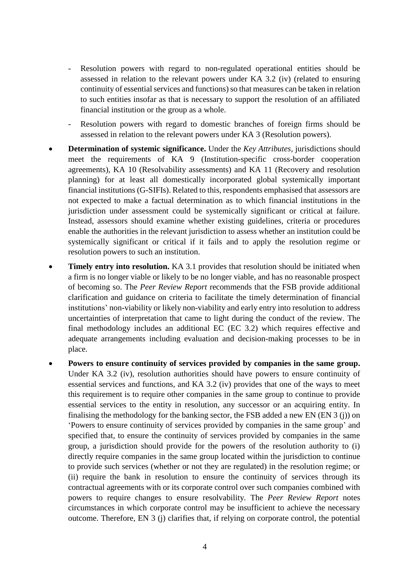- Resolution powers with regard to non-regulated operational entities should be assessed in relation to the relevant powers under KA 3.2 (iv) (related to ensuring continuity of essential services and functions) so that measures can be taken in relation to such entities insofar as that is necessary to support the resolution of an affiliated financial institution or the group as a whole.
- Resolution powers with regard to domestic branches of foreign firms should be assessed in relation to the relevant powers under KA 3 (Resolution powers).
- **Determination of systemic significance.** Under the *Key Attributes*, jurisdictions should meet the requirements of KA 9 (Institution-specific cross-border cooperation agreements), KA 10 (Resolvability assessments) and KA 11 (Recovery and resolution planning) for at least all domestically incorporated global systemically important financial institutions (G-SIFIs). Related to this, respondents emphasised that assessors are not expected to make a factual determination as to which financial institutions in the jurisdiction under assessment could be systemically significant or critical at failure. Instead, assessors should examine whether existing guidelines, criteria or procedures enable the authorities in the relevant jurisdiction to assess whether an institution could be systemically significant or critical if it fails and to apply the resolution regime or resolution powers to such an institution.
- **Timely entry into resolution.** KA 3.1 provides that resolution should be initiated when a firm is no longer viable or likely to be no longer viable, and has no reasonable prospect of becoming so. The *Peer Review Report* recommends that the FSB provide additional clarification and guidance on criteria to facilitate the timely determination of financial institutions' non-viability or likely non-viability and early entry into resolution to address uncertainties of interpretation that came to light during the conduct of the review. The final methodology includes an additional EC (EC 3.2) which requires effective and adequate arrangements including evaluation and decision-making processes to be in place.
- **Powers to ensure continuity of services provided by companies in the same group.**  Under KA 3.2 (iv), resolution authorities should have powers to ensure continuity of essential services and functions, and KA 3.2 (iv) provides that one of the ways to meet this requirement is to require other companies in the same group to continue to provide essential services to the entity in resolution, any successor or an acquiring entity. In finalising the methodology for the banking sector, the FSB added a new EN (EN 3 (j)) on 'Powers to ensure continuity of services provided by companies in the same group' and specified that, to ensure the continuity of services provided by companies in the same group, a jurisdiction should provide for the powers of the resolution authority to (i) directly require companies in the same group located within the jurisdiction to continue to provide such services (whether or not they are regulated) in the resolution regime; or (ii) require the bank in resolution to ensure the continuity of services through its contractual agreements with or its corporate control over such companies combined with powers to require changes to ensure resolvability. The *Peer Review Report* notes circumstances in which corporate control may be insufficient to achieve the necessary outcome. Therefore, EN 3 (j) clarifies that, if relying on corporate control, the potential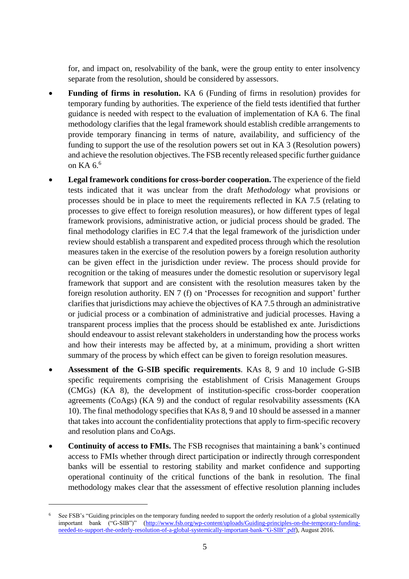for, and impact on, resolvability of the bank, were the group entity to enter insolvency separate from the resolution, should be considered by assessors.

- **Funding of firms in resolution.** KA 6 (Funding of firms in resolution) provides for temporary funding by authorities. The experience of the field tests identified that further guidance is needed with respect to the evaluation of implementation of KA 6. The final methodology clarifies that the legal framework should establish credible arrangements to provide temporary financing in terms of nature, availability, and sufficiency of the funding to support the use of the resolution powers set out in KA 3 (Resolution powers) and achieve the resolution objectives. The FSB recently released specific further guidance on KA 6.<sup>6</sup>
- **Legal framework conditions for cross-border cooperation.** The experience of the field tests indicated that it was unclear from the draft *Methodology* what provisions or processes should be in place to meet the requirements reflected in KA 7.5 (relating to processes to give effect to foreign resolution measures), or how different types of legal framework provisions, administrative action, or judicial process should be graded. The final methodology clarifies in EC 7.4 that the legal framework of the jurisdiction under review should establish a transparent and expedited process through which the resolution measures taken in the exercise of the resolution powers by a foreign resolution authority can be given effect in the jurisdiction under review. The process should provide for recognition or the taking of measures under the domestic resolution or supervisory legal framework that support and are consistent with the resolution measures taken by the foreign resolution authority. EN 7 (f) on 'Processes for recognition and support' further clarifies that jurisdictions may achieve the objectives of KA 7.5 through an administrative or judicial process or a combination of administrative and judicial processes. Having a transparent process implies that the process should be established ex ante. Jurisdictions should endeavour to assist relevant stakeholders in understanding how the process works and how their interests may be affected by, at a minimum, providing a short written summary of the process by which effect can be given to foreign resolution measures.
- **Assessment of the G-SIB specific requirements**. KAs 8, 9 and 10 include G-SIB specific requirements comprising the establishment of Crisis Management Groups (CMGs) (KA 8), the development of institution-specific cross-border cooperation agreements (CoAgs) (KA 9) and the conduct of regular resolvability assessments (KA 10). The final methodology specifies that KAs 8, 9 and 10 should be assessed in a manner that takes into account the confidentiality protections that apply to firm-specific recovery and resolution plans and CoAgs.
- **Continuity of access to FMIs.** The FSB recognises that maintaining a bank's continued access to FMIs whether through direct participation or indirectly through correspondent banks will be essential to restoring stability and market confidence and supporting operational continuity of the critical functions of the bank in resolution. The final methodology makes clear that the assessment of effective resolution planning includes

 $\overline{a}$ 

<sup>6</sup> See FSB's "Guiding principles on the temporary funding needed to support the orderly resolution of a global systemically important bank ("G-SIB")" [\(http://www.fsb.org/wp-content/uploads/Guiding-principles-on-the-temporary-funding](http://www.fsb.org/wp-content/uploads/Guiding-principles-on-the-temporary-funding-needed-to-support-the-orderly-resolution-of-a-global-systemically-important-bank-)[needed-to-support-the-orderly-resolution-of-a-global-systemically-important-bank-"G-SIB".pdf\)](http://www.fsb.org/wp-content/uploads/Guiding-principles-on-the-temporary-funding-needed-to-support-the-orderly-resolution-of-a-global-systemically-important-bank-), August 2016.